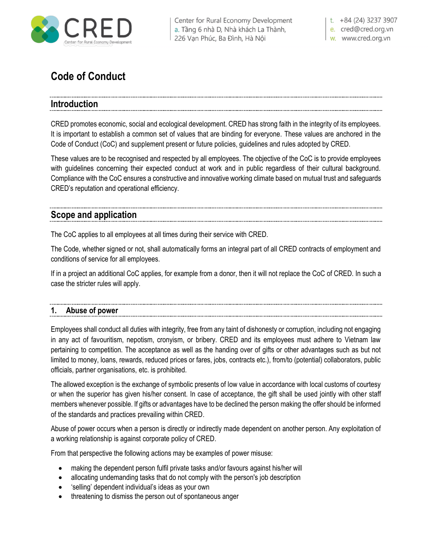

Center for Rural Economy Development a. Tầng 6 nhà D, Nhà khách La Thành, 226 Vạn Phúc, Ba Đình, Hà Nội

t.  $+84(24)$  3237 3907 e. cred@cred.org.vn

w. www.cred.org.vn

# **Code of Conduct**

# **Introduction**

CRED promotes economic, social and ecological development. CRED has strong faith in the integrity of its employees. It is important to establish a common set of values that are binding for everyone. These values are anchored in the Code of Conduct (CoC) and supplement present or future policies, guidelines and rules adopted by CRED.

These values are to be recognised and respected by all employees. The objective of the CoC is to provide employees with guidelines concerning their expected conduct at work and in public regardless of their cultural background. Compliance with the CoC ensures a constructive and innovative working climate based on mutual trust and safeguards CRED's reputation and operational efficiency.

# **Scope and application**

The CoC applies to all employees at all times during their service with CRED.

The Code, whether signed or not, shall automatically forms an integral part of all CRED contracts of employment and conditions of service for all employees.

If in a project an additional CoC applies, for example from a donor, then it will not replace the CoC of CRED. In such a case the stricter rules will apply.

# **1. Abuse of power**

Employees shall conduct all duties with integrity, free from any taint of dishonesty or corruption, including not engaging in any act of favouritism, nepotism, cronyism, or bribery. CRED and its employees must adhere to Vietnam law pertaining to competition. The acceptance as well as the handing over of gifts or other advantages such as but not limited to money, loans, rewards, reduced prices or fares, jobs, contracts etc.), from/to (potential) collaborators, public officials, partner organisations, etc. is prohibited.

The allowed exception is the exchange of symbolic presents of low value in accordance with local customs of courtesy or when the superior has given his/her consent. In case of acceptance, the gift shall be used jointly with other staff members whenever possible. If gifts or advantages have to be declined the person making the offer should be informed of the standards and practices prevailing within CRED.

Abuse of power occurs when a person is directly or indirectly made dependent on another person. Any exploitation of a working relationship is against corporate policy of CRED.

From that perspective the following actions may be examples of power misuse:

- making the dependent person fulfil private tasks and/or favours against his/her will
- allocating undemanding tasks that do not comply with the person's job description
- 'selling' dependent individual's ideas as your own
- threatening to dismiss the person out of spontaneous anger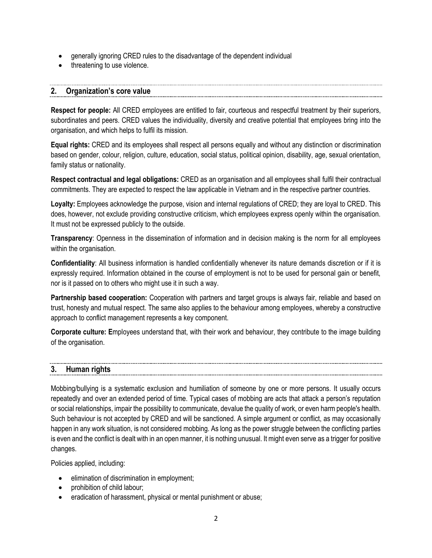- generally ignoring CRED rules to the disadvantage of the dependent individual
- threatening to use violence.

# **2. Organization's core value**

**Respect for people:** All CRED employees are entitled to fair, courteous and respectful treatment by their superiors, subordinates and peers. CRED values the individuality, diversity and creative potential that employees bring into the organisation, and which helps to fulfil its mission.

**Equal rights:** CRED and its employees shall respect all persons equally and without any distinction or discrimination based on gender, colour, religion, culture, education, social status, political opinion, disability, age, sexual orientation, family status or nationality.

**Respect contractual and legal obligations:** CRED as an organisation and all employees shall fulfil their contractual commitments. They are expected to respect the law applicable in Vietnam and in the respective partner countries.

**Loyalty:** Employees acknowledge the purpose, vision and internal regulations of CRED; they are loyal to CRED. This does, however, not exclude providing constructive criticism, which employees express openly within the organisation. It must not be expressed publicly to the outside.

**Transparency**: Openness in the dissemination of information and in decision making is the norm for all employees within the organisation.

**Confidentiality**: All business information is handled confidentially whenever its nature demands discretion or if it is expressly required. Information obtained in the course of employment is not to be used for personal gain or benefit, nor is it passed on to others who might use it in such a way.

**Partnership based cooperation:** Cooperation with partners and target groups is always fair, reliable and based on trust, honesty and mutual respect. The same also applies to the behaviour among employees, whereby a constructive approach to conflict management represents a key component.

**Corporate culture: E**mployees understand that, with their work and behaviour, they contribute to the image building of the organisation.

# **3. Human rights**

Mobbing/bullying is a systematic exclusion and humiliation of someone by one or more persons. It usually occurs repeatedly and over an extended period of time. Typical cases of mobbing are acts that attack a person's reputation or social relationships, impair the possibility to communicate, devalue the quality of work, or even harm people's health. Such behaviour is not accepted by CRED and will be sanctioned. A simple argument or conflict, as may occasionally happen in any work situation, is not considered mobbing. As long as the power struggle between the conflicting parties is even and the conflict is dealt with in an open manner, it is nothing unusual. It might even serve as a trigger for positive changes.

Policies applied, including:

- elimination of discrimination in employment;
- prohibition of child labour;
- eradication of harassment, physical or mental punishment or abuse;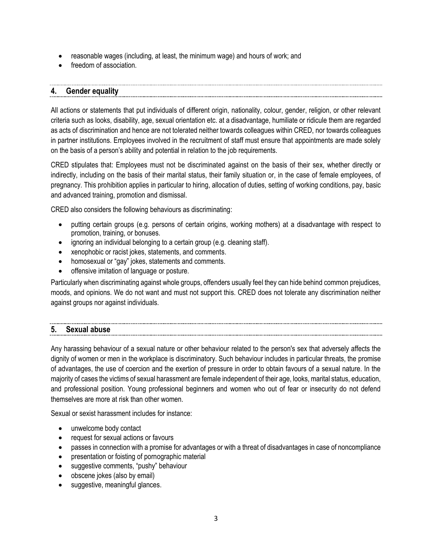- reasonable wages (including, at least, the minimum wage) and hours of work; and
- freedom of association.

# **4. Gender equality**

All actions or statements that put individuals of different origin, nationality, colour, gender, religion, or other relevant criteria such as looks, disability, age, sexual orientation etc. at a disadvantage, humiliate or ridicule them are regarded as acts of discrimination and hence are not tolerated neither towards colleagues within CRED, nor towards colleagues in partner institutions. Employees involved in the recruitment of staff must ensure that appointments are made solely on the basis of a person's ability and potential in relation to the job requirements.

CRED stipulates that: Employees must not be discriminated against on the basis of their sex, whether directly or indirectly, including on the basis of their marital status, their family situation or, in the case of female employees, of pregnancy. This prohibition applies in particular to hiring, allocation of duties, setting of working conditions, pay, basic and advanced training, promotion and dismissal.

CRED also considers the following behaviours as discriminating:

- putting certain groups (e.g. persons of certain origins, working mothers) at a disadvantage with respect to promotion, training, or bonuses.
- ignoring an individual belonging to a certain group (e.g. cleaning staff).
- xenophobic or racist jokes, statements, and comments.
- homosexual or "gay" jokes, statements and comments.
- offensive imitation of language or posture.

Particularly when discriminating against whole groups, offenders usually feel they can hide behind common prejudices, moods, and opinions. We do not want and must not support this. CRED does not tolerate any discrimination neither against groups nor against individuals.

## **5. Sexual abuse**

Any harassing behaviour of a sexual nature or other behaviour related to the person's sex that adversely affects the dignity of women or men in the workplace is discriminatory. Such behaviour includes in particular threats, the promise of advantages, the use of coercion and the exertion of pressure in order to obtain favours of a sexual nature. In the majority of cases the victims of sexual harassment are female independent of their age, looks, marital status, education, and professional position. Young professional beginners and women who out of fear or insecurity do not defend themselves are more at risk than other women.

Sexual or sexist harassment includes for instance:

- unwelcome body contact
- request for sexual actions or favours
- passes in connection with a promise for advantages or with a threat of disadvantages in case of noncompliance
- presentation or foisting of pornographic material
- suggestive comments, "pushy" behaviour
- obscene jokes (also by email)
- suggestive, meaningful glances.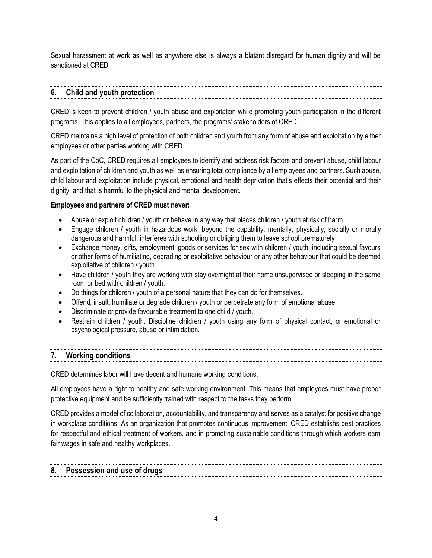Sexual harassment at work as well as anywhere else is always a blatant disregard for human dignity and will be sanctioned at CRED.

#### **6. Child and youth protection**

CRED is keen to prevent children / youth abuse and exploitation while promoting youth participation in the different programs. This applies to all employees, partners, the programs' stakeholders of CRED.

CRED maintains a high level of protection of both children and youth from any form of abuse and exploitation by either employees or other parties working with CRED.

As part of the CoC, CRED requires all employees to identify and address risk factors and prevent abuse, child labour and exploitation of children and youth as well as ensuring total compliance by all employees and partners. Such abuse, child labour and exploitation include physical, emotional and health deprivation that's effects their potential and their dignity, and that is harmful to the physical and mental development.

# **Employees and partners of CRED must never:**

- Abuse or exploit children / youth or behave in any way that places children / youth at risk of harm.
- Engage children / youth in hazardous work, beyond the capability, mentally, physically, socially or morally dangerous and harmful, interferes with schooling or obliging them to leave school prematurely
- Exchange money, gifts, employment, goods or services for sex with children / youth, including sexual favours or other forms of humiliating, degrading or exploitative behaviour or any other behaviour that could be deemed exploitative of children / youth.
- Have children / youth they are working with stay overnight at their home unsupervised or sleeping in the same room or bed with children / youth.
- Do things for children / youth of a personal nature that they can do for themselves.
- Offend, insult, humiliate or degrade children / youth or perpetrate any form of emotional abuse.
- Discriminate or provide favourable treatment to one child / youth.
- Restrain children / youth. Discipline children / youth using any form of physical contact, or emotional or psychological pressure, abuse or intimidation.

# **7. Working conditions**

CRED determines labor will have decent and humane working conditions.

All employees have a right to healthy and safe working environment. This means that employees must have proper protective equipment and be sufficiently trained with respect to the tasks they perform.

CRED provides a model of collaboration, accountability, and transparency and serves as a catalyst for positive change in workplace conditions. As an organization that promotes continuous improvement, CRED establishs best practices for respectful and ethical treatment of workers, and in promoting sustainable conditions through which workers earn fair wages in safe and healthy workplaces.

# **8. Possession and use of drugs**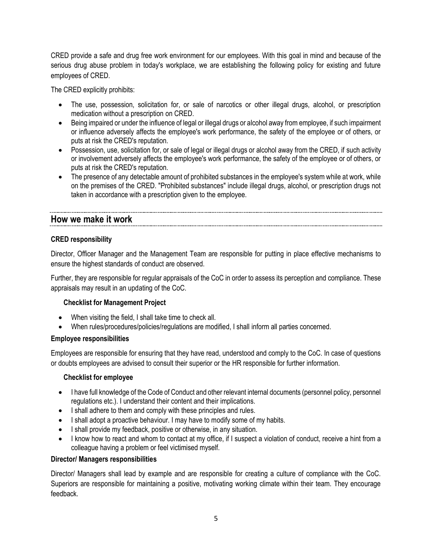CRED provide a safe and drug free work environment for our employees. With this goal in mind and because of the serious drug abuse problem in today's workplace, we are establishing the following policy for existing and future employees of CRED.

The CRED explicitly prohibits:

- The use, possession, solicitation for, or sale of narcotics or other illegal drugs, alcohol, or prescription medication without a prescription on CRED.
- Being impaired or under the influence of legal or illegal drugs or alcohol away from employee, if such impairment or influence adversely affects the employee's work performance, the safety of the employee or of others, or puts at risk the CRED's reputation.
- Possession, use, solicitation for, or sale of legal or illegal drugs or alcohol away from the CRED, if such activity or involvement adversely affects the employee's work performance, the safety of the employee or of others, or puts at risk the CRED's reputation.
- The presence of any detectable amount of prohibited substances in the employee's system while at work, while on the premises of the CRED. "Prohibited substances" include illegal drugs, alcohol, or prescription drugs not taken in accordance with a prescription given to the employee.

# **How we make it work**

# **CRED responsibility**

Director, Officer Manager and the Management Team are responsible for putting in place effective mechanisms to ensure the highest standards of conduct are observed.

Further, they are responsible for regular appraisals of the CoC in order to assess its perception and compliance. These appraisals may result in an updating of the CoC.

## **Checklist for Management Project**

- When visiting the field, I shall take time to check all.
- When rules/procedures/policies/regulations are modified, I shall inform all parties concerned.

## **Employee responsibilities**

Employees are responsible for ensuring that they have read, understood and comply to the CoC. In case of questions or doubts employees are advised to consult their superior or the HR responsible for further information.

## **Checklist for employee**

- I have full knowledge of the Code of Conduct and other relevant internal documents (personnel policy, personnel regulations etc.). I understand their content and their implications.
- I shall adhere to them and comply with these principles and rules.
- I shall adopt a proactive behaviour. I may have to modify some of my habits.
- I shall provide my feedback, positive or otherwise, in any situation.
- I know how to react and whom to contact at my office, if I suspect a violation of conduct, receive a hint from a colleague having a problem or feel victimised myself.

## **Director/ Managers responsibilities**

Director/ Managers shall lead by example and are responsible for creating a culture of compliance with the CoC. Superiors are responsible for maintaining a positive, motivating working climate within their team. They encourage feedback.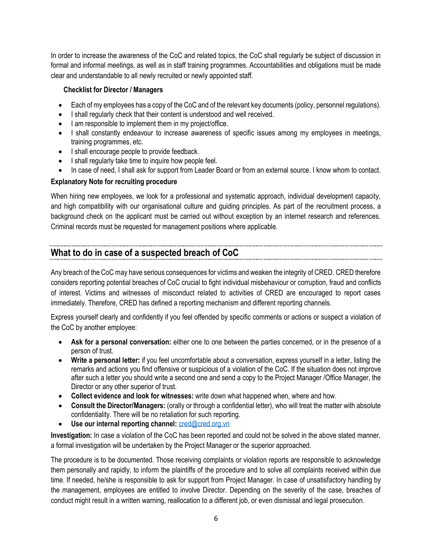In order to increase the awareness of the CoC and related topics, the CoC shall regularly be subject of discussion in formal and informal meetings, as well as in staff training programmes. Accountabilities and obligations must be made clear and understandable to all newly recruited or newly appointed staff.

## **Checklist for Director / Managers**

- Each of my employees has a copy of the CoC and of the relevant key documents (policy, personnel regulations).
- I shall regularly check that their content is understood and well received.
- I am responsible to implement them in my project/office.
- I shall constantly endeavour to increase awareness of specific issues among my employees in meetings, training programmes, etc.
- I shall encourage people to provide feedback.
- I shall regularly take time to inquire how people feel.
- In case of need, I shall ask for support from Leader Board or from an external source. I know whom to contact.

# **Explanatory Note for recruiting procedure**

When hiring new employees, we look for a professional and systematic approach, individual development capacity, and high compatibility with our organisational culture and guiding principles. As part of the recruitment process, a background check on the applicant must be carried out without exception by an internet research and references. Criminal records must be requested for management positions where applicable.

# **What to do in case of a suspected breach of CoC**

Any breach of the CoC may have serious consequences for victims and weaken the integrity of CRED. CRED therefore considers reporting potential breaches of CoC crucial to fight individual misbehaviour or corruption, fraud and conflicts of interest. Victims and witnesses of misconduct related to activities of CRED are encouraged to report cases immediately. Therefore, CRED has defined a reporting mechanism and different reporting channels.

Express yourself clearly and confidently if you feel offended by specific comments or actions or suspect a violation of the CoC by another employee:

- **Ask for a personal conversation:** either one to one between the parties concerned, or in the presence of a person of trust.
- **Write a personal letter:** if you feel uncomfortable about a conversation, express yourself in a letter, listing the remarks and actions you find offensive or suspicious of a violation of the CoC. If the situation does not improve after such a letter you should write a second one and send a copy to the Project Manager /Office Manager, the Director or any other superior of trust.
- **Collect evidence and look for witnesses:** write down what happened when, where and how.
- **Consult the Director/Managers:** (orally or through a confidential letter), who will treat the matter with absolute confidentiality. There will be no retaliation for such reporting.
- **Use our internal reporting channel:** [cred@cred.org.vn](mailto:cred@cred.org.vn)

**Investigation:** In case a violation of the CoC has been reported and could not be solved in the above stated manner, a formal investigation will be undertaken by the Project Manager or the superior approached.

The procedure is to be documented. Those receiving complaints or violation reports are responsible to acknowledge them personally and rapidly, to inform the plaintiffs of the procedure and to solve all complaints received within due time. If needed, he/she is responsible to ask for support from Project Manager. In case of unsatisfactory handling by the management, employees are entitled to involve Director. Depending on the severity of the case, breaches of conduct might result in a written warning, reallocation to a different job, or even dismissal and legal prosecution.